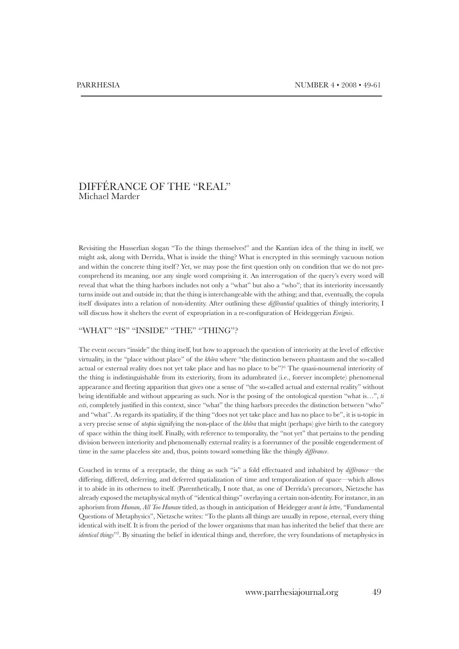# DIFFÉRANCE OF THE "REAL" Michael Marder

Revisiting the Husserlian slogan "To the things themselves!" and the Kantian idea of the thing in itself, we might ask, along with Derrida, What is inside the thing? What is encrypted in this seemingly vacuous notion and within the concrete thing itself? Yet, we may pose the first question only on condition that we do not precomprehend its meaning, nor any single word comprising it. An interrogation of the query's every word will reveal that what the thing harbors includes not only a "what" but also a "who"; that its interiority incessantly turns inside out and outside in; that the thing is interchangeable with the athing; and that, eventually, the copula itself dissipates into a relation of non-identity. After outlining these *différantial* qualities of thingly interiority, I will discuss how it shelters the event of expropriation in a re-configuration of Heideggerian *Ereignis*.

## "WHAT" "IS" "INSIDE" "THE" "THING"?

The event occurs "inside" the thing itself, but how to approach the question of interiority at the level of effective virtuality, in the "place without place" of the *khôra* where "the distinction between phantasm and the so-called actual or external reality does not yet take place and has no place to be"?1 The quasi-noumenal interiority of the thing is indistinguishable from its exteriority, from its adumbrated (i.e., forever incomplete) phenomenal appearance and fleeting apparition that gives one a sense of "the so-called actual and external reality" without being identifiable and without appearing as such. Nor is the posing of the ontological question "what is…", *ti esti*, completely justified in this context, since "what" the thing harbors precedes the distinction between "who" and "what". As regards its spatiality, if the thing "does not yet take place and has no place to be", it is u-topic in a very precise sense of *utopia* signifying the non-place of the *khôra* that might (perhaps) give birth to the category of space within the thing itself. Finally, with reference to temporality, the "not yet" that pertains to the pending division between interiority and phenomenally external reality is a forerunner of the possible engenderment of time in the same placeless site and, thus, points toward something like the thingly *différance*.

Couched in terms of a receptacle, the thing as such "is" a fold effectuated and inhabited by *différance*—the differing, differed, deferring, and deferred spatialization of time and temporalization of space—which allows it to abide in its otherness to itself. (Parenthetically, I note that, as one of Derrida's precursors, Nietzsche has already exposed the metaphysical myth of "identical things" overlaying a certain non-identity. For instance, in an aphorism from *Human, All Too Human* titled, as though in anticipation of Heidegger *avant la lettre*, "Fundamental Questions of Metaphysics", Nietzsche writes: "To the plants all things are usually in repose, eternal, every thing identical with itself. It is from the period of the lower organisms that man has inherited the belief that there are *identical things*"2 . By situating the belief in identical things and, therefore, the very foundations of metaphysics in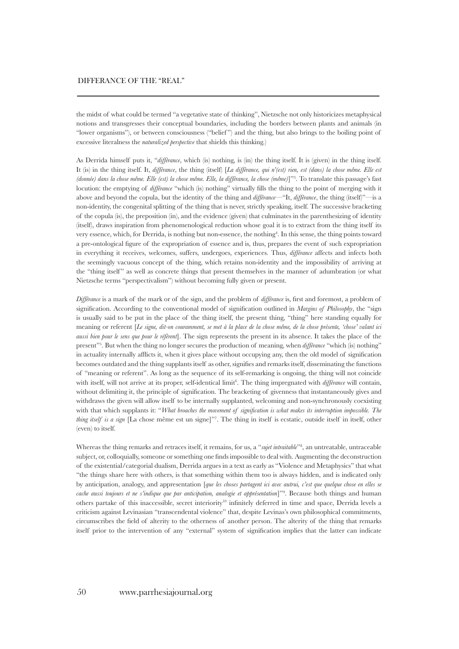the midst of what could be termed "a vegetative state of thinking", Nietzsche not only historicizes metaphysical notions and transgresses their conceptual boundaries, including the borders between plants and animals (in "lower organisms"), or between consciousness ("belief ") and the thing, but also brings to the boiling point of excessive literalness the *naturalized perspective* that shields this thinking.)

As Derrida himself puts it, "*différance*, which (is) nothing, is (in) the thing itself. It is (given) in the thing itself. It (is) in the thing itself. It, *différance*, the thing (itself) [*La différance, qui n'(est) rien, est (dans) la chose même. Elle est (donnée) dans la chose même. Elle (est) la chose même. Elle, la différance, la chose (même)*]"3 . To translate this passage's fast locution: the emptying of *différance* "which (is) nothing" virtually fills the thing to the point of merging with it above and beyond the copula, but the identity of the thing and *différance*—"It, *différance*, the thing (itself)"—is a non-identity, the congenital splitting of the thing that is never, strictly speaking, itself. The successive bracketing of the copula (is), the preposition (in), and the evidence (given) that culminates in the parenthesizing of identity (itself), draws inspiration from phenomenological reduction whose goal it is to extract from the thing itself its very essence, which, for Derrida, is nothing but non-essence, the nothing<sup>4</sup>. In this sense, the thing points toward a pre-ontological figure of the expropriation of essence and is, thus, prepares the event of such expropriation in everything it receives, welcomes, suffers, undergoes, experiences. Thus, *différance* affects and infects both the seemingly vacuous concept of the thing, which retains non-identity and the impossibility of arriving at the "thing itself " as well as concrete things that present themselves in the manner of adumbration (or what Nietzsche terms "perspectivalism") without becoming fully given or present.

*Différance* is a mark of the mark or of the sign, and the problem of *différance* is, first and foremost, a problem of signification. According to the conventional model of signification outlined in *Margins of Philosophy*, the "sign is usually said to be put in the place of the thing itself, the present thing, "thing" here standing equally for meaning or referent [*Le signe, dit-on couramment, se met à la place de la chose même, de la chose présente, 'chose' valant ici aussi bien pour le sens que pour le réfèrent*]. The sign represents the present in its absence. It takes the place of the present"<sup>5</sup>. But when the thing no longer secures the production of meaning, when *différance* "which (is) nothing" in actuality internally afflicts it, when it gives place without occupying any, then the old model of signification becomes outdated and the thing supplants itself as other, signifies and remarks itself, disseminating the functions of "meaning or referent". As long as the sequence of its self-remarking is ongoing, the thing will not coincide with itself, will not arrive at its proper, self-identical limit<sup>6</sup>. The thing impregnated with *différance* will contain, without delimiting it, the principle of signification. The bracketing of givenness that instantaneously gives and withdraws the given will allow itself to be internally supplanted, welcoming and non-synchronously coexisting with that which supplants it: "*What broaches the movement of signification is what makes its interruption impossible. The thing itself is a sign* [La chose même est un signe]<sup>"7</sup>. The thing in itself is ecstatic, outside itself in itself, other (even) to itself.

Whereas the thing remarks and retraces itself, it remains, for us, a "*sujet intraitable*"<sup>8</sup> , an untreatable, untraceable subject, or, colloquially, someone or something one finds impossible to deal with. Augmenting the deconstruction of the existential/categorial dualism, Derrida argues in a text as early as "Violence and Metaphysics" that what "the things share here with others, is that something within them too is always hidden, and is indicated only by anticipation, analogy, and appresentation [*que les choses partagent ici avec autrui, c'est que quelque chose en elles se cache aussi toujours et ne s'indique que par anticipation, analogie et apprésentation*]"<sup>9</sup> . Because both things and human others partake of this inaccessible, secret interiority<sup>10</sup> infinitely deferred in time and space, Derrida levels a criticism against Levinasian "transcendental violence" that, despite Levinas's own philosophical commitments, circumscribes the field of alterity to the otherness of another person. The alterity of the thing that remarks itself prior to the intervention of any "external" system of signification implies that the latter can indicate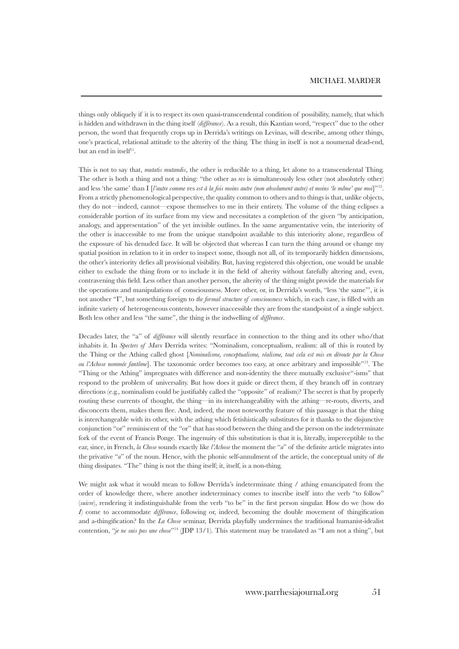things only obliquely if it is to respect its own quasi-transcendental condition of possibility, namely, that which is hidden and withdrawn in the thing itself (*différance*). As a result, this Kantian word, "respect" due to the other person, the word that frequently crops up in Derrida's writings on Levinas, will describe, among other things, one's practical, relational attitude to the alterity of the thing. The thing in itself is not a noumenal dead-end, but an end in itself<sup>11</sup>.

This is not to say that, *mutatis mutandis*, the other is reducible to a thing, let alone to a transcendental Thing. The other is both a thing and not a thing: "the other as *res* is simultaneously less other (not absolutely other) and less 'the same' than I [*l'autre comme* res *est à la fois moins autre (non absolument autre) et moins 'le même' que moi*]"12. From a strictly phenomenological perspective, the quality common to others and to things is that, unlike objects, they do not—indeed, cannot—expose themselves to me in their entirety. The volume of the thing eclipses a considerable portion of its surface from my view and necessitates a completion of the given "by anticipation, analogy, and appresentation" of the yet invisible outlines. In the same argumentative vein, the interiority of the other is inaccessible to me from the unique standpoint available to this interiority alone, regardless of the exposure of his denuded face. It will be objected that whereas I can turn the thing around or change my spatial position in relation to it in order to inspect some, though not all, of its temporarily hidden dimensions, the other's interiority defies all provisional visibility. But, having registered this objection, one would be unable either to exclude the thing from or to include it in the field of alterity without fatefully altering and, even, contravening this field. Less other than another person, the alterity of the thing might provide the materials for the operations and manipulations of consciousness. More other, or, in Derrida's words, "less 'the same'", it is not another "I", but something foreign to *the formal structure of consciousness* which, in each case, is filled with an infinite variety of heterogeneous contents, however inaccessible they are from the standpoint of a single subject. Both less other and less "the same", the thing is the indwelling of *différance*.

Decades later, the "a" of *différance* will silently resurface in connection to the thing and its other who/that inhabits it. In *Specters of Marx* Derrida writes: "Nominalism, conceptualism, realism: all of this is routed by the Thing or the Athing called ghost [*Nominalisme, conceptualisme, réalisme, tout cela est mis en déroute par la Chose ou l'Achose nommée fantôme*]. The taxonomic order becomes too easy, at once arbitrary and impossible"13. The "Thing or the Athing" impregnates with difference and non-identity the three mutually exclusive"-isms" that respond to the problem of universality. But how does it guide or direct them, if they branch off in contrary directions (e.g., nominalism could be justifiably called the "opposite" of realism)? The secret is that by properly routing these currents of thought, the thing—in its interchangeability with the athing—re-routs, diverts, and disconcerts them, makes them flee. And, indeed, the most noteworthy feature of this passage is that the thing is interchangeable with its other, with the athing which fetishistically substitutes for it thanks to the disjunctive conjunction "or" reminiscent of the "or" that has stood between the thing and the person on the indeterminate fork of the event of Francis Ponge. The ingenuity of this substitution is that it is, literally, imperceptible to the ear, since, in French, *la Chose* sounds exactly like *l'Achose* the moment the "*a*" of the definite article migrates into the privative "*a*" of the noun. Hence, with the phonic self-annulment of the article, the conceptual unity of *the*  thing dissipates. "The" thing is not the thing itself; it, itself, is a non-thing.

We might ask what it would mean to follow Derrida's indeterminate thing  $\ell$  athing emancipated from the order of knowledge there, where another indeterminacy comes to inscribe itself into the verb "to follow" (*suivre*), rendering it indistinguishable from the verb "to be" in the first person singular. How do we (how do *I*) come to accommodate *différance*, following or, indeed, becoming the double movement of thingification and a-thingification? In the *La Chose* seminar, Derrida playfully undermines the traditional humanist-idealist contention, "*je ne suis pas une chose*"14 (JDP 13/1). This statement may be translated as "I am not a thing", but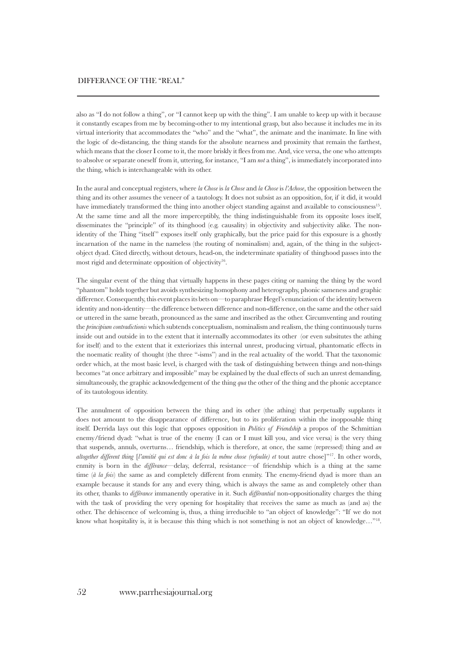also as "I do not follow a thing", or "I cannot keep up with the thing". I am unable to keep up with it because it constantly escapes from me by becoming-other to my intentional grasp, but also because it includes me in its virtual interiority that accommodates the "who" and the "what", the animate and the inanimate. In line with the logic of de-distancing, the thing stands for the absolute nearness and proximity that remain the farthest, which means that the closer I come to it, the more briskly it flees from me. And, vice versa, the one who attempts to absolve or separate oneself from it, uttering, for instance, "I am *not* a thing", is immediately incorporated into the thing, which is interchangeable with its other.

In the aural and conceptual registers, where *la Chose* is *la Chose* and *la Chose* is *l'Achose*, the opposition between the thing and its other assumes the veneer of a tautology. It does not subsist as an opposition, for, if it did, it would have immediately transformed the thing into another object standing against and available to consciousness<sup>15</sup>. At the same time and all the more imperceptibly, the thing indistinguishable from its opposite loses itself, disseminates the "principle" of its thinghood (e.g. causality) in objectivity and subjectivity alike. The nonidentity of the Thing "itself" exposes itself only graphically, but the price paid for this exposure is a ghostly incarnation of the name in the nameless (the routing of nominalism) and, again, of the thing in the subjectobject dyad. Cited directly, without detours, head-on, the indeterminate spatiality of thinghood passes into the most rigid and determinate opposition of objectivity<sup>16</sup>.

The singular event of the thing that virtually happens in these pages citing or naming the thing by the word "phantom" holds together but avoids synthesizing homophony and heterography, phonic sameness and graphic difference. Consequently, this event places its bets on—to paraphrase Hegel's enunciation of the identity between identity and non-identity—the difference between difference and non-difference, on the same and the other said or uttered in the same breath, pronounced as the same and inscribed as the other. Circumventing and routing the *principium contradictionis* which subtends conceptualism, nominalism and realism, the thing continuously turns inside out and outside in to the extent that it internally accommodates its other (or even subsitutes the athing for itself) and to the extent that it exteriorizes this internal unrest, producing virtual, phantomatic effects in the noematic reality of thought (the three "-isms") and in the real actuality of the world. That the taxonomic order which, at the most basic level, is charged with the task of distinguishing between things and non-things becomes "at once arbitrary and impossible" may be explained by the dual effects of such an unrest demanding, simultaneously, the graphic acknowledgement of the thing *qua* the other of the thing and the phonic acceptance of its tautologous identity.

The annulment of opposition between the thing and its other (the athing) that perpetually supplants it does not amount to the disappearance of difference, but to its proliferation within the inopposable thing itself. Derrida lays out this logic that opposes opposition in *Politics of Friendship* a propos of the Schmittian enemy/friend dyad: "what is true of the enemy (I can or I must kill you, and vice versa) is the very thing that suspends, annuls, overturns… friendship, which is therefore, at once, the same (repressed) thing and *an altogether different thing* [*l'amitié qui est donc à la fois la même chose (refoulée) et* tout autre chose]"17. In other words, enmity is born in the *différance*—delay, deferral, resistance—of friendship which is a thing at the same time (*à la fois*) the same as and completely different from enmity. The enemy-friend dyad is more than an example because it stands for any and every thing, which is always the same as and completely other than its other, thanks to *différance* immanently operative in it. Such *différantial* non-oppositionality charges the thing with the task of providing the very opening for hospitality that receives the same as much as (and as) the other. The dehiscence of welcoming is, thus, a thing irreducible to "an object of knowledge": "If we do not know what hospitality is, it is because this thing which is not something is not an object of knowledge..."<sup>18</sup>.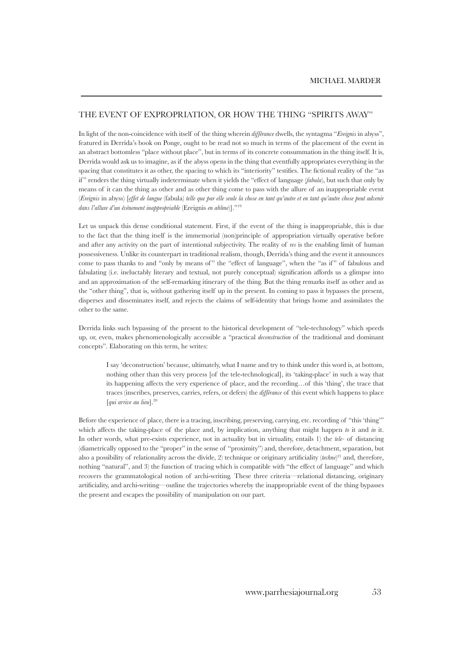#### THE EVENT OF EXPROPRIATION, OR HOW THE THING "SPIRITS AWAY"

In light of the non-coincidence with itself of the thing wherein *différance* dwells, the syntagma "*Ereignis* in abyss", featured in Derrida's book on Ponge, ought to be read not so much in terms of the placement of the event in an abstract bottomless "place without place", but in terms of its concrete consummation in the thing itself. It is, Derrida would ask us to imagine, as if the abyss opens in the thing that eventfully appropriates everything in the spacing that constitutes it as other, the spacing to which its "interiority" testifies. The fictional reality of the "as if " renders the thing virtually indeterminate when it yields the "effect of language (*fabula*), but such that only by means of it can the thing as other and as other thing come to pass with the allure of an inappropriable event (*Ereignis* in abyss) [*effet de langue* (fabula) *telle que par elle seule la chose en tant qu'autre et en tant qu'autre chose peut advenir dans l'allure d'un événement inappropriable* (Ereignis *en abîme*)]."<sup>19</sup>

Let us unpack this dense conditional statement. First, if the event of the thing is inappropriable, this is due to the fact that the thing itself is the immemorial (non)principle of appropriation virtually operative before and after any activity on the part of intentional subjectivity. The reality of *res* is the enabling limit of human possessiveness. Unlike its counterpart in traditional realism, though, Derrida's thing and the event it announces come to pass thanks to and "only by means of" the "effect of language", when the "as if" of fabulous and fabulating (i.e. ineluctably literary and textual, not purely conceptual) signification affords us a glimpse into and an approximation of the self-remarking itinerary of the thing. But the thing remarks itself as other and as the "other thing", that is, without gathering itself up in the present. In coming to pass it bypasses the present, disperses and disseminates itself, and rejects the claims of self-identity that brings home and assimilates the other to the same.

Derrida links such bypassing of the present to the historical development of "tele-technology" which speeds up, or, even, makes phenomenologically accessible a "practical *deconstruction* of the traditional and dominant concepts". Elaborating on this term, he writes:

I say 'deconstruction' because, ultimately, what I name and try to think under this word is, at bottom, nothing other than this very process [of the tele-technological], its 'taking-place' in such a way that its happening affects the very experience of place, and the recording…of this 'thing', the trace that traces (inscribes, preserves, carries, refers, or defers) the *différance* of this event which happens to place [*qui arrive au lieu*].<sup>20</sup>

Before the experience of place, there is a tracing, inscribing, preserving, carrying, etc. recording of "this 'thing'" which affects the taking-place of the place and, by implication, anything that might happen *to* it and *in* it. In other words, what pre-exists experience, not in actuality but in virtuality, entails 1) the *tele-* of distancing (diametrically opposed to the "proper" in the sense of "proximity") and, therefore, detachment, separation, but also a possibility of relationality across the divide, 2) technique or originary artificiality (*techne*) 21 and, therefore, nothing "natural", and 3) the function of tracing which is compatible with "the effect of language" and which recovers the grammatological notion of archi-writing. These three criteria—relational distancing, originary artificiality, and archi-writing—outline the trajectories whereby the inappropriable event of the thing bypasses the present and escapes the possibility of manipulation on our part.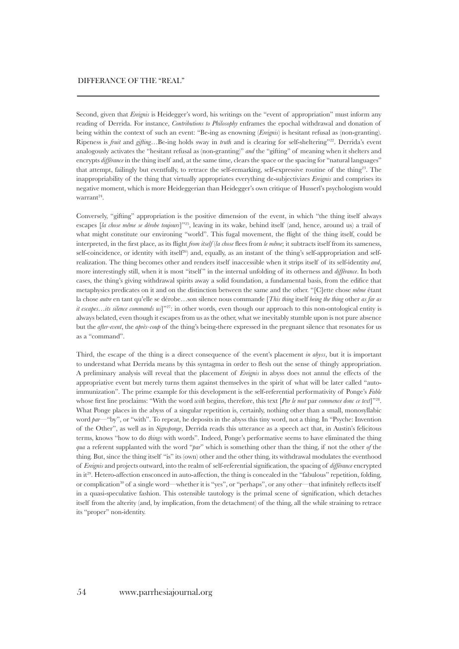Second, given that *Ereignis* is Heidegger's word, his writings on the "event of appropriation" must inform any reading of Derrida. For instance, *Contributions to Philosophy* enframes the epochal withdrawal and donation of being within the context of such an event: "Be-ing as enowning (*Ereignis*) is hesitant refusal as (non-granting). Ripeness is *fruit* and *gifting*…Be-ing holds sway in *truth* and is clearing for self-sheltering"<sup>22</sup>. Derrida's event analogously activates the "hesitant refusal as (non-granting)" *and* the "gifting" of meaning when it shelters and encrypts *différance* in the thing itself and, at the same time, clears the space or the spacing for "natural languages" that attempt, failingly but eventfully, to retrace the self-remarking, self-expressive routine of the thing<sup>23</sup>. The inappropriability of the thing that virtually appropriates everything de-subjectivizes *Ereignis* and comprises its negative moment, which is more Heideggerian than Heidegger's own critique of Husserl's psychologism would warrant<sup>24</sup>.

Conversely, "gifting" appropriation is the positive dimension of the event, in which "the thing itself always escapes [*la chose même se dérobe toujours*]"25, leaving in its wake, behind itself (and, hence, around us) a trail of what might constitute our environing "world". This fugal movement, the flight of the thing itself, could be interpreted, in the first place, as its flight *from itself* (*la chose* flees from *le même*; it subtracts itself from its sameness, self-coincidence, or identity with itself<sup>26</sup>) and, equally, as an instant of the thing's self-appropriation and selfrealization. The thing becomes other and renders itself inaccessible when it strips itself of its self-identity *and*, more interestingly still, when it is most "itself " in the internal unfolding of its otherness and *différance*. In both cases, the thing's giving withdrawal spirits away a solid foundation, a fundamental basis, from the edifice that metaphysics predicates on it and on the distinction between the same and the other. "[C]ette chose *même* étant la chose *autre* en tant qu'elle se dérobe…son silence nous commande [*This thing* itself *being the thing* other *as far as it escapes…its silence commands us*]"27: in other words, even though our approach to this non-ontological entity is always belated, even though it escapes from us as the other, what we inevitably stumble upon is not pure absence but the *after-event*, the *après-coup* of the thing's being-there expressed in the pregnant silence that resonates for us as a "command".

Third, the escape of the thing is a direct consequence of the event's placement *in abyss*, but it is important to understand what Derrida means by this syntagma in order to flesh out the sense of thingly appropriation. A preliminary analysis will reveal that the placement of *Ereignis* in abyss does not annul the effects of the appropriative event but merely turns them against themselves in the spirit of what will be later called "autoimmunization". The prime example for this development is the self-referential performativity of Ponge's *Fable* whose first line proclaims: "With the word *with* begins, therefore, this text [*Par le mot* par *commence donc ce text*]"<sup>28</sup>. What Ponge places in the abyss of a singular repetition is, certainly, nothing other than a small, monosyllabic word *par—*"by", or "with". To repeat, he deposits in the abyss this tiny word, not a thing. In "Psyche: Invention of the Other", as well as in *Signsponge*, Derrida reads this utterance as a speech act that, in Austin's felicitous terms, knows "how to do *things* with words". Indeed, Ponge's performative seems to have eliminated the thing *qua* a referent supplanted with the word "*par*" which is something other than the thing, if not the other *of* the thing. But, since the thing itself "is" its (own) other and the other thing, its withdrawal modulates the eventhood of *Ereignis* and projects outward, into the realm of self-referential signification, the spacing of *différance* encrypted in it<sup>29</sup>. Hetero-affection ensconced in auto-affection, the thing is concealed in the "fabulous" repetition, folding, or complication30 of a single word—whether it is "yes", or "perhaps", or any other—that infinitely reflects itself in a quasi-speculative fashion. This ostensible tautology is the primal scene of signification, which detaches itself from the alterity (and, by implication, from the detachment) of the thing, all the while straining to retrace its "proper" non-identity.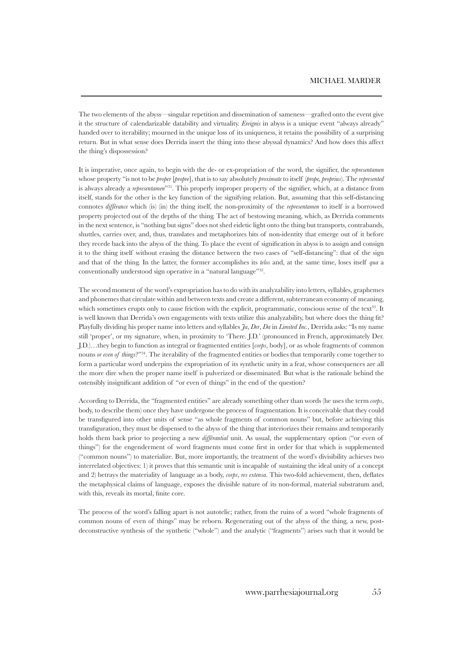The two elements of the abyss—singular repetition and dissemination of sameness—grafted onto the event give it the structure of calendarizable datability and virtuality. *Ereignis* in abyss is a unique event "always already" handed over to iterability; mourned in the unique loss of its uniqueness, it retains the possibility of a surprising return. But in what sense does Derrida insert the thing into these abyssal dynamics? And how does this affect the thing's dispossession?

It is imperative, once again, to begin with the de- or ex-propriation of the word, the signifier, the *representamen* whose property "is not to be *proper* [*propre*], that is to say absolutely *proximate* to itself (*prope, proprius*). The *represented*  is always already a *representamen*"31. This properly improper property of the signifier, which, at a distance from itself, stands for the other is the key function of the signifying relation. But, assuming that this self-distancing connotes *différance* which (is) (in) the thing itself, the non-proximity of the *representamen* to itself is a borrowed property projected out of the depths of the thing. The act of bestowing meaning, which, as Derrida comments in the next sentence, is "nothing but signs" does not shed eidetic light onto the thing but transports, contrabands, shuttles, carries over, and, thus, translates and metaphorizes bits of non-identity that emerge out of it before they recede back into the abyss of the thing. To place the event of signification in abyss is to assign and consign it to the thing itself without erasing the distance between the two cases of "self-distancing": that of the sign and that of the thing. In the latter, the former accomplishes its *telos* and, at the same time, loses itself *qua* a conventionally understood sign operative in a "natural language"32.

The second moment of the word's expropriation has to do with its analyzability into letters, syllables, graphemes and phonemes that circulate within and between texts and create a different, subterranean economy of meaning, which sometimes erupts only to cause friction with the explicit, programmatic, conscious sense of the text $33$ . It is well known that Derrida's own engagements with texts utilize this analyzability, but where does the thing fit? Playfully dividing his proper name into letters and syllables *Ja*, *Der*, *Da* in *Limited Inc.*, Derrida asks: "Is my name still 'proper', or my signature, when, in proximity to 'There. J.D.' (pronounced in French, approximately Der. J.D.)…they begin to function as integral or fragmented entities [*corps*, body], or as whole fragments of common nouns *or even of things*?"34. The iterability of the fragmented entities or bodies that temporarily come together to form a particular word underpins the expropriation of its synthetic unity in a feat, whose consequences are all the more dire when the proper name itself is pulverized or disseminated. But what is the rationale behind the ostensibly insignificant addition of "or even of things" in the end of the question?

According to Derrida, the "fragmented entities" are already something other than words (he uses the term *corps*, body, to describe them) once they have undergone the process of fragmentation. It is conceivable that they could be transfigured into other units of sense "as whole fragments of common nouns" but, before achieving this transfiguration, they must be dispensed to the abyss of the thing that interiorizes their remains and temporarily holds them back prior to projecting a new *différantial* unit. As usual, the supplementary option ("or even of things") for the engenderment of word fragments must come first in order for that which is supplemented ("common nouns") to materialize. But, more importantly, the treatment of the word's divisibility achieves two interrelated objectives: 1) it proves that this semantic unit is incapable of sustaining the ideal unity of a concept and 2) betrays the materiality of language as a body, *corps*, *res extensa*. This two-fold achievement, then, deflates the metaphysical claims of language, exposes the divisible nature of its non-formal, material substratum and, with this, reveals its mortal, finite core.

The process of the word's falling apart is not autotelic; rather, from the ruins of a word "whole fragments of common nouns of even of things" may be reborn. Regenerating out of the abyss of the thing, a new, postdeconstructive synthesis of the synthetic ("whole") and the analytic ("fragments") arises such that it would be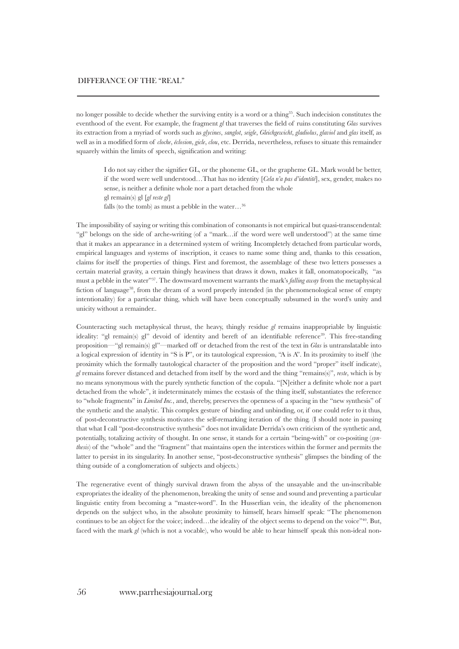no longer possible to decide whether the surviving entity is a word or a thing35. Such indecision constitutes the eventhood of the event. For example, the fragment *gl* that traverses the field of ruins constituting *Glas* survives its extraction from a myriad of words such as *glycines*, *sanglot*, *seigle*, *Gleichgewicht*, *gladiolus*, *glaviol* and *glas* itself, as well as in a modified form of *cloche*, *éclosion*, *gicle*, *clou*, etc. Derrida, nevertheless, refuses to situate this remainder squarely within the limits of speech, signification and writing:

I do not say either the signifier GL, or the phoneme GL, or the grapheme GL. Mark would be better, if the word were well understood…That has no identity [*Cela n'a pas d'identité*], sex, gender, makes no sense, is neither a definite whole nor a part detached from the whole gl remain(s) gl [*gl reste gl*]

falls (to the tomb) as must a pebble in the water…36

The impossibility of saying or writing this combination of consonants is not empirical but quasi-transcendental: "gl" belongs on the side of arche-writing (of a "mark…if the word were well understood") at the same time that it makes an appearance in a determined system of writing. Incompletely detached from particular words, empirical languages and systems of inscription, it ceases to name some thing and, thanks to this cessation, claims for itself the properties of things. First and foremost, the assemblage of these two letters possesses a certain material gravity, a certain thingly heaviness that draws it down, makes it fall, onomatopoeically, "as must a pebble in the water"37. The downward movement warrants the mark's *falling away* from the metaphysical fiction of language<sup>38</sup>, from the dream of a word properly intended (in the phenomenological sense of empty intentionality) for a particular thing, which will have been conceptually subsumed in the word's unity and unicity without a remainder..

Counteracting such metaphysical thrust, the heavy, thingly residue *gl* remains inappropriable by linguistic ideality: "gl remain(s) gl" devoid of identity and bereft of an identifiable reference<sup>39</sup>. This free-standing proposition—"gl remain(s) gl"—marked off or detached from the rest of the text in *Glas* is untranslatable into a logical expression of identity in "S is P", or its tautological expression, "A is A". In its proximity to itself (the proximity which the formally tautological character of the proposition and the word "proper" itself indicate), *gl* remains forever distanced and detached from itself by the word and the thing "remains(s)", *reste*, which is by no means synonymous with the purely synthetic function of the copula. "[N]either a definite whole nor a part detached from the whole", it indeterminately mimes the ecstasis of the thing itself, substantiates the reference to "whole fragments" in *Limited Inc.*, and, thereby, preserves the openness of a spacing in the "new synthesis" of the synthetic and the analytic. This complex gesture of binding and unbinding, or, if one could refer to it thus, of post-deconstructive synthesis motivates the self-remarking iteration of the thing. (I should note in passing that what I call "post-deconstructive synthesis" does not invalidate Derrida's own criticism of the synthetic and, potentially, totalizing activity of thought. In one sense, it stands for a certain "being-with" or co-positing (*synthesis*) of the "whole" and the "fragment" that maintains open the interstices within the former and permits the latter to persist in its singularity. In another sense, "post-deconstructive synthesis" glimpses the binding of the thing outside of a conglomeration of subjects and objects.)

The regenerative event of thingly survival drawn from the abyss of the unsayable and the un-inscribable expropriates the ideality of the phenomenon, breaking the unity of sense and sound and preventing a particular linguistic entity from becoming a "master-word". In the Husserlian vein, the ideality of the phenomenon depends on the subject who, in the absolute proximity to himself, hears himself speak: "The phenomenon continues to be an object for the voice; indeed…the ideality of the object seems to depend on the voice"40. But, faced with the mark *gl* (which is not a vocable), who would be able to hear himself speak this non-ideal non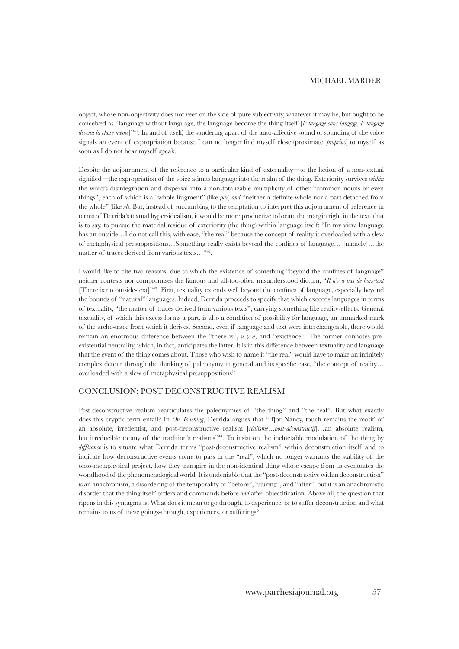object, whose non-objectivity does not veer on the side of pure subjectivity, whatever it may be, but ought to be conceived as "language without language, the language become the thing itself [*le langage sans langage, le langage devenu la chose même*<sup>[341</sup>. In and of itself, the sundering apart of the auto-affective sound or sounding of the voice signals an event of expropriation because I can no longer find myself close (proximate, *proprius*) to myself as soon as I do not hear myself speak.

Despite the adjournment of the reference to a particular kind of externality—to the fiction of a non-textual signified—the expropriation of the voice admits language into the realm of the thing. Exteriority survives *within* the word's disintegration and dispersal into a non-totalizable multiplicity of other "common nouns or even things", each of which is a "whole fragment" (like *par*) *and* "neither a definite whole nor a part detached from the whole" (like *gl*). But, instead of succumbing to the temptation to interpret this adjournment of reference in terms of Derrida's textual hyper-idealism, it would be more productive to locate the margin right in the text, that is to say, to pursue the material residue of exteriority (the thing) within language itself: "In my view, language has an outside…I do not call this, with ease, "the real" because the concept of reality is overloaded with a slew of metaphysical presuppositions…Something really exists beyond the confines of language… [namely]…the matter of traces derived from various texts..."<sup>42</sup>.

I would like to cite two reasons, due to which the existence of something "beyond the confines of language" neither contests nor compromises the famous and all-too-often misunderstood dictum, "*Il n'y a pas de hors-text*  [There is no outside-text]"<sup>43</sup>. First, textuality extends well beyond the confines of language, especially beyond the bounds of "natural" languages. Indeed, Derrida proceeds to specify that which exceeds languages in terms of textuality, "the matter of traces derived from various texts", carrying something like reality-effects. General textuality, of which this excess forms a part, is also a condition of possibility for language, an unmarked mark of the arche-trace from which it derives. Second, even if language and text were interchangeable, there would remain an enormous difference between the "there is", *il y a*, and "existence". The former connotes preexistential neutrality, which, in fact, anticipates the latter. It is in this difference between textuality and language that the event of the thing comes about. Those who wish to name it "the real" would have to make an infinitely complex detour through the thinking of paleonymy in general and its specific case, "the concept of reality… overloaded with a slew of metaphysical presuppositions".

#### CONCLUSION: POST-DECONSTRUCTIVE REALISM

Post-deconstructive realism rearticulates the paleonymies of "the thing" and "the real". But what exactly does this cryptic term entail? In *On Touching*, Derrida argues that "[f]or Nancy, touch remains the motif of an absolute, irredentist, and post-deconstructive realism [*réalisme…post-déconstructif*]…an absolute realism, but irreducible to any of the tradition's realisms"44. To insist on the ineluctable modulation of the thing by *différance* is to situate what Derrida terms "post-deconstructive realism" within deconstruction itself and to indicate how deconstructive events come to pass in the "real", which no longer warrants the stability of the onto-metaphysical project, how they transpire in the non-identical thing whose escape from us eventuates the worldhood of the phenomenological world. It is undeniable that the "post-deconstructive within deconstruction" is an anachronism, a disordering of the temporality of "before", "during", and "after", but it is an anachronistic disorder that the thing itself orders and commands before *and* after objectification. Above all, the question that ripens in this syntagma is: What does it mean to go through, to experience, or to suffer deconstruction and what remains to us of these goings-through, experiences, or sufferings?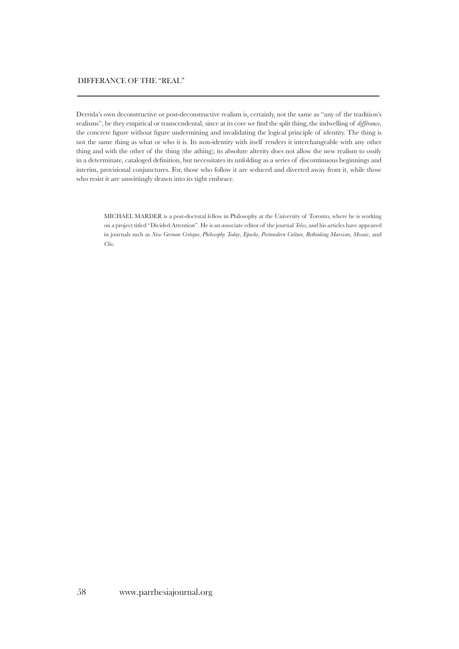Derrida's own deconstructive or post-deconstructive realism is, certainly, not the same as "any of the tradition's realisms", be they empirical or transcendental, since at its core we find the split thing, the indwelling of *différance*, the concrete figure without figure undermining and invalidating the logical principle of identity. The thing is not the same thing as what or who it is. Its non-identity with itself renders it interchangeable with any other thing and with the other of the thing (the athing); its absolute alterity does not allow the new realism to ossify in a determinate, cataloged definition, but necessitates its unfolding as a series of discontinuous beginnings and interim, provisional conjunctures. For, those who follow it are seduced and diverted away from it, while those who resist it are unwittingly drawn into its tight embrace.

MICHAEL MARDER is a post-doctoral fellow in Philosophy at the University of Toronto, where he is working on a project titled "Divided Attention". He is an associate editor of the journal *Telos*, and his articles have appeared in journals such as *New German Critique*, *Philosophy Today*, *Epoche*, *Postmodern Culture*, *Rethinking Marxism*, *Mosaic*, and *Clio*.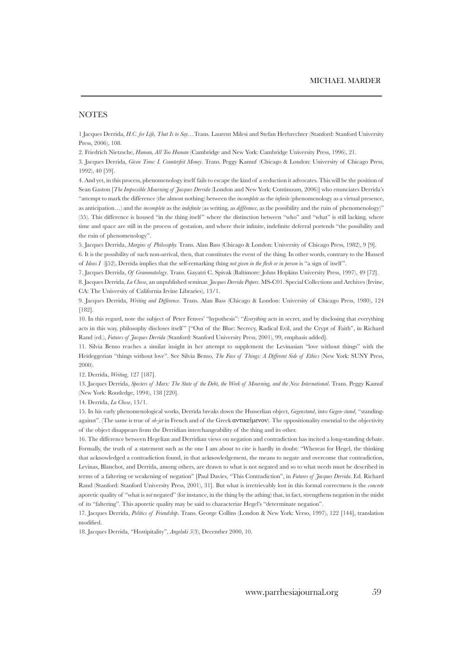#### **NOTES**

1 Jacques Derrida, *H.C. for Life, That Is to Say…*Trans. Laurent Milesi and Stefan Herbrechter (Stanford: Stanford University Press, 2006), 108.

2. Friedrich Nietzsche, *Human, All Too Human* (Cambridge and New York: Cambridge University Press, 1996), 21.

3. Jacques Derrida, *Given Time: I. Counterfeit Money*. Trans. Peggy Kamuf (Chicago & London: University of Chicago Press, 1992), 40 [59].

4. And yet, in this process, phenomenology itself fails to escape the kind of a reduction it advocates. This will be the position of Sean Gaston [*The Impossible Mourning of Jacques Derrida* (London and New York: Continuum, 2006)] who enunciates Derrida's "attempt to mark the difference (the almost nothing) between the *incomplete* as the *infinite* (phenomenology as a virtual presence, as anticipation…) and the *incomplete* as the *indefinite* (as writing, as *différance*, as the possibility and the ruin of phenomenology)" (55). This difference is housed "in the thing itself " where the distinction between "who" and "what" is still lacking, where time and space are still in the process of gestation, and where their infinite, indefinite deferral portends "the possibility and the ruin of phenomenology".

5. Jacques Derrida, *Margins of Philosophy.* Trans. Alan Bass (Chicago & London: University of Chicago Press, 1982), 9 [9].

6. It is the possibility of such non-arrival, then, that constitutes the event of the thing. In other words, contrary to the Husserl of *Ideas I* (§52), Derrida implies that the self-remarking thing *not given in the flesh or in person* is "a sign of itself ".

7. Jacques Derrida, *Of Grammatology*. Trans. Gayatri C. Spivak (Baltimore: Johns Hopkins University Press, 1997), 49 [72].

8. Jacques Derrida, *La Chose*, an unpublished seminar. *Jacques Derrida Papers*. MS-C01. Special Collections and Archives (Irvine, CA: The University of California Irvine Libraries), 13/1.

9. Jacques Derrida, *Writing and Difference*. Trans. Alan Bass (Chicago & London: University of Chicago Press, 1980), 124 [182].

10. In this regard, note the subject of Peter Fenves' "hypothesis": "*Everything* acts in secret, and by disclosing that everything acts in this way, philosophy discloses itself" ["Out of the Blue: Secrecy, Radical Evil, and the Crypt of Faith", in Richard Rand (ed.), *Futures of Jacques Derrida* (Stanford: Stanford University Press, 2001), 99, emphasis added].

11. Silvia Benso reaches a similar insight in her attempt to supplement the Levinasian "love without things" with the Heideggerian "things without love". See Silvia Benso, *The Face of Things: A Different Side of Ethics* (New York: SUNY Press, 2000).

12. Derrida, *Writing*, 127 [187].

13. Jacques Derrida, *Specters of Marx: The State of the Debt, the Work of Mourning, and the New International*. Trans. Peggy Kamuf (New York: Routledge, 1994), 138 [220].

14. Derrida, *La Chose*, 13/1.

15. In his early phenomenological works, Derrida breaks down the Husserlian object, *Gegenstand*, into *Gegen-stand*, "standingagainst". (The same is true of *ob-jet* in French and of the Greek αντικείμενον). The oppositionality essential to the objectivity of the object disappears from the Derridian interchangeability of the thing and its other.

16. The difference between Hegelian and Derridian views on negation and contradiction has incited a long-standing debate. Formally, the truth of a statement such as the one I am about to cite is hardly in doubt: "Whereas for Hegel, the thinking that acknowledged a contradiction found, in that acknowledgement, the means to negate and overcome that contradiction, Levinas, Blanchot, and Derrida, among others, are drawn to what is not negated and so to what needs must be described in terms of a faltering or weakening of negation" [Paul Davies, "This Contradiction", in *Futures of Jacques Derrida*. Ed. Richard Rand (Stanford: Stanford University Press, 2001), 31]. But what is irretrievably lost in this formal correctness is the *concrete* aporetic quality of "what is *not* negated" (for instance, in the thing by the athing) that, in fact, strengthens negation in the midst of its "faltering". This aporetic quality may be said to characterize Hegel's "determinate negation".

17. Jacques Derrida, *Politics of Friendship*. Trans. George Collins (London & New York: Verso, 1997), 122 [144], translation modified.

18. Jacques Derrida, "Hostipitality", *Angelaki 5*(3), December 2000, 10.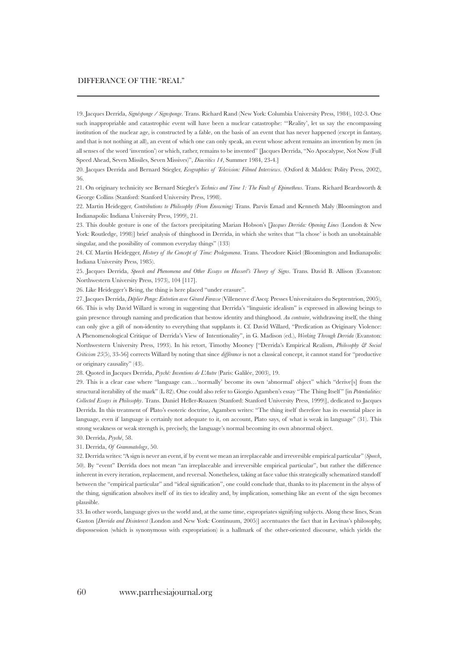19. Jacques Derrida, *Signésponge / Signsponge*. Trans. Richard Rand (New York: Columbia University Press, 1984), 102-3. One such inappropriable and catastrophic event will have been a nuclear catastrophe: "'Reality', let us say the encompassing institution of the nuclear age, is constructed by a fable, on the basis of an event that has never happened (except in fantasy, and that is not nothing at all), an event of which one can only speak, an event whose advent remains an invention by men (in all senses of the word 'invention') or which, rather, remains to be invented" [Jacques Derrida, "No Apocalypse, Not Now (Full Speed Ahead, Seven Missiles, Seven Missives)", *Diacritics 14*, Summer 1984, 23-4.]

20. Jacques Derrida and Bernard Stiegler, *Ecographies of Television: Filmed Interviews*. (Oxford & Malden: Polity Press, 2002), 36.

21. On originary technicity see Bernard Stiegler's *Technics and Time 1: The Fault of Epimetheus*. Trans. Richard Beardsworth & George Collins (Stanford: Stanford University Press, 1998).

22. Martin Heidegger, *Contributions to Philosophy (From Enowning)* Trans. Parvis Emad and Kenneth Maly (Bloomington and Indianapolis: Indiana University Press, 1999), 21.

23. This double gesture is one of the factors precipitating Marian Hobson's [*Jacques Derrida: Opening Lines* (London & New York: Routledge, 1998)] brief analysis of thinghood in Derrida, in which she writes that "'la chose' is both an unobtainable singular, and the possibility of common everyday things" (133)

24. Cf. Martin Heidegger, *History of the Concept of Time: Prolegomena*. Trans. Theodore Kisiel (Bloomington and Indianapolis: Indiana University Press, 1985).

25. Jacques Derrida, *Speech and Phenomena and Other Essays on Husserl's Theory of Signs*. Trans. David B. Allison (Evanston: Northwestern University Press, 1973), 104 [117].

26. Like Heidegger's Being, the thing is here placed "under erasure".

27. Jacques Derrida, *Déplier Ponge: Entretien avec Gérard Farasse* (Villeneuve d'Ascq: Presses Universitaires du Septrentrion, 2005), 66. This is why David Willard is wrong in suggesting that Derrida's "linguistic idealism" is expressed in allowing beings to gain presence through naming and predication that bestow identity and thinghood. *Au contraire*, withdrawing itself, the thing can only give a gift of non-identity to everything that supplants it. Cf. David Willard, "Predication as Originary Violence: A Phenomenological Critique of Derrida's View of Intentionality", in G. Madison (ed.), *Working Through Derrida* (Evanston: Northwestern University Press, 1993). In his retort, Timothy Mooney ["Derrida's Empirical Realism, *Philosophy & Social Criticism 25*(5), 33-56] corrects Willard by noting that since *différance* is not a classical concept, it cannot stand for "productive or originary causality" (43).

28. Quoted in Jacques Derrida, *Psyché: Inventions de L'Autre* (Paris: Galilée, 2003), 19.

29. This is a clear case where "language can…'normally' become its own 'abnormal' object" which "derive[s] from the structural iterability of the mark" (L 82). One could also refer to Giorgio Agamben's essay "The Thing Itself" [in *Potentialities: Collected Essays in Philosophy*. Trans. Daniel Heller-Roazen (Stanford: Stanford University Press, 1999)], dedicated to Jacques Derrida. In this treatment of Plato's esoteric doctrine, Agamben writes: "The thing itself therefore has its essential place in language, even if language is certainly not adequate to it, on account, Plato says, of what is weak in language" (31). This strong weakness or weak strength is, precisely, the language's normal becoming its own abnormal object.

30. Derrida, *Psyché*, 58.

31. Derrida, *Of Grammatology*, 50.

32. Derrida writes: "A sign is never an event, if by event we mean an irreplaceable and irreversible empirical particular" (*Speech*, 50). By "event" Derrida does not mean "an irreplaceable and irreversible empirical particular", but rather the difference inherent in every iteration, replacement, and reversal. Nonetheless, taking at face value this strategically schematized standoff between the "empirical particular" and "ideal signification", one could conclude that, thanks to its placement in the abyss of the thing, signification absolves itself of its ties to ideality and, by implication, something like an event of the sign becomes plausible.

33. In other words, language gives us the world and, at the same time, expropriates signifying subjects. Along these lines, Sean Gaston [*Derrida and Disinterest* (London and New York: Continuum, 2005)] accentuates the fact that in Levinas's philosophy, dispossession (which is synonymous with expropriation) is a hallmark of the other-oriented discourse, which yields the